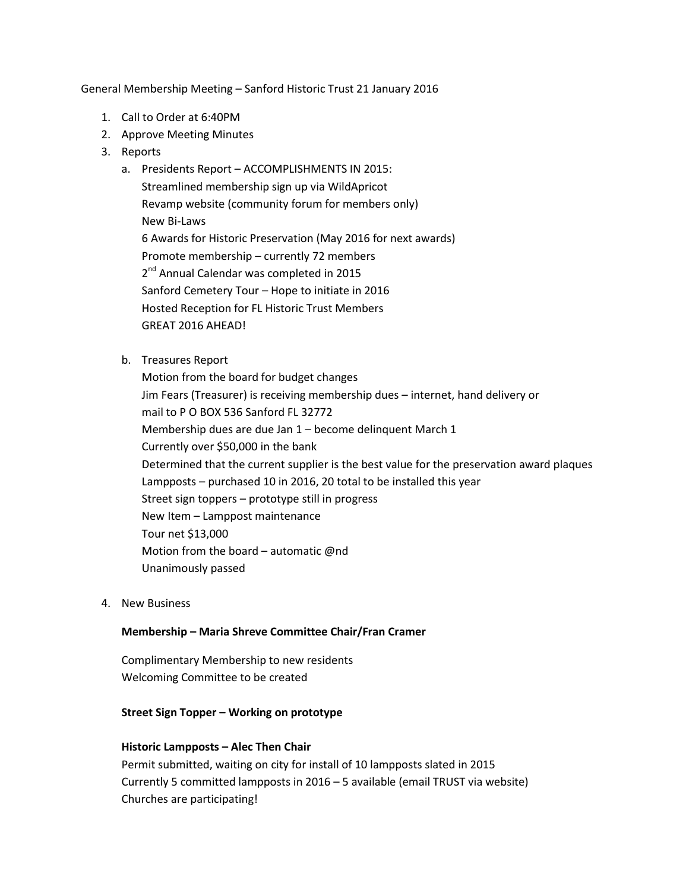General Membership Meeting – Sanford Historic Trust 21 January 2016

- 1. Call to Order at 6:40PM
- 2. Approve Meeting Minutes
- 3. Reports
	- a. Presidents Report ACCOMPLISHMENTS IN 2015: Streamlined membership sign up via WildApricot Revamp website (community forum for members only) New Bi-Laws 6 Awards for Historic Preservation (May 2016 for next awards) Promote membership – currently 72 members 2<sup>nd</sup> Annual Calendar was completed in 2015 Sanford Cemetery Tour – Hope to initiate in 2016 Hosted Reception for FL Historic Trust Members GREAT 2016 AHEAD!
	- b. Treasures Report

Motion from the board for budget changes Jim Fears (Treasurer) is receiving membership dues – internet, hand delivery or mail to P O BOX 536 Sanford FL 32772 Membership dues are due Jan 1 – become delinquent March 1 Currently over \$50,000 in the bank Determined that the current supplier is the best value for the preservation award plaques Lampposts – purchased 10 in 2016, 20 total to be installed this year Street sign toppers – prototype still in progress New Item – Lamppost maintenance Tour net \$13,000 Motion from the board – automatic @nd Unanimously passed

4. New Business

## **Membership – Maria Shreve Committee Chair/Fran Cramer**

Complimentary Membership to new residents Welcoming Committee to be created

## **Street Sign Topper – Working on prototype**

## **Historic Lampposts – Alec Then Chair**

Permit submitted, waiting on city for install of 10 lampposts slated in 2015 Currently 5 committed lampposts in 2016 – 5 available (email TRUST via website) Churches are participating!